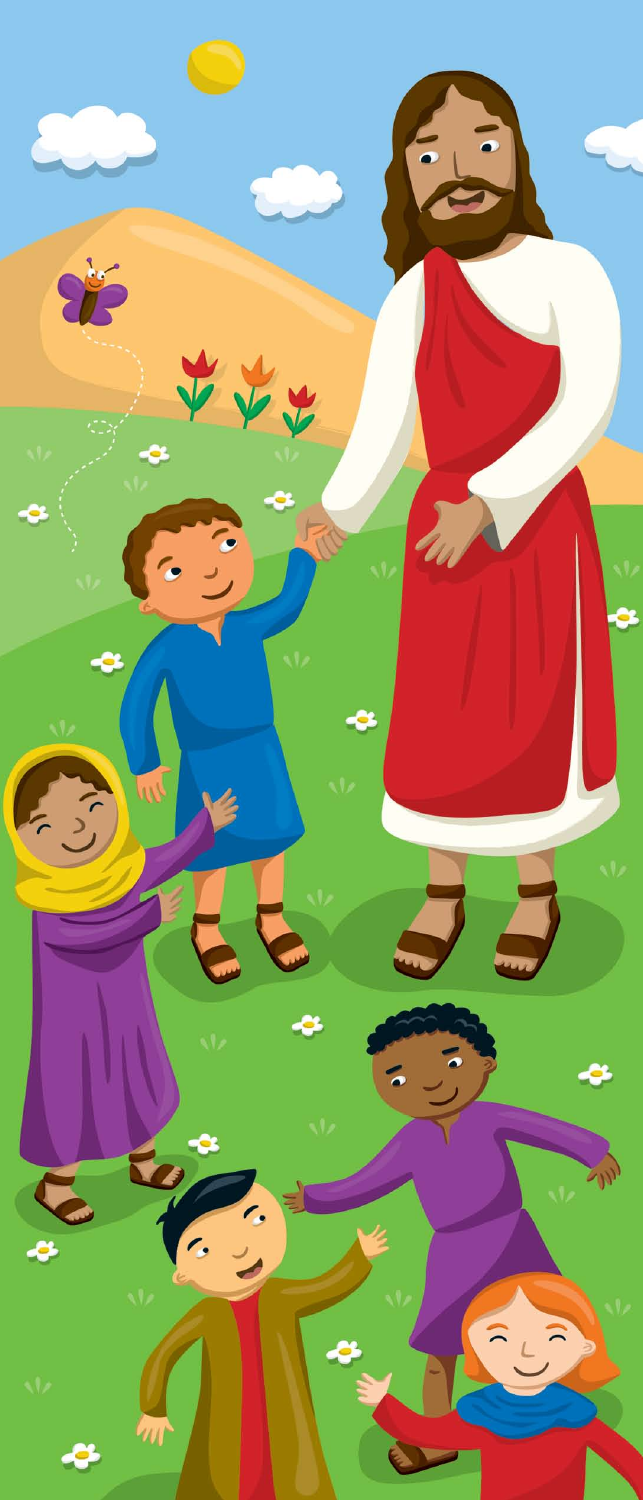